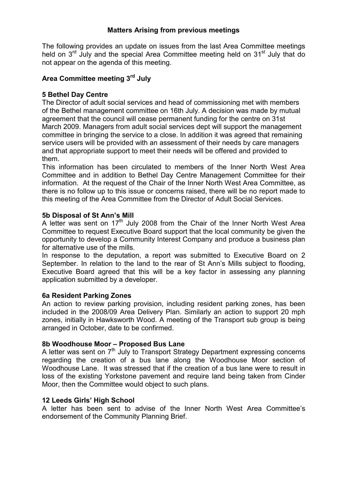# Matters Arising from previous meetings

The following provides an update on issues from the last Area Committee meetings held on 3<sup>rd</sup> July and the special Area Committee meeting held on 31<sup>st</sup> July that do not appear on the agenda of this meeting.

# Area Committee meeting 3rd July

### 5 Bethel Day Centre

The Director of adult social services and head of commissioning met with members of the Bethel management committee on 16th July. A decision was made by mutual agreement that the council will cease permanent funding for the centre on 31st March 2009. Managers from adult social services dept will support the management committee in bringing the service to a close. In addition it was agreed that remaining service users will be provided with an assessment of their needs by care managers and that appropriate support to meet their needs will be offered and provided to them.

This information has been circulated to members of the Inner North West Area Committee and in addition to Bethel Day Centre Management Committee for their information. At the request of the Chair of the Inner North West Area Committee, as there is no follow up to this issue or concerns raised, there will be no report made to this meeting of the Area Committee from the Director of Adult Social Services.

#### 5b Disposal of St Ann's Mill

A letter was sent on  $17<sup>th</sup>$  July 2008 from the Chair of the Inner North West Area Committee to request Executive Board support that the local community be given the opportunity to develop a Community Interest Company and produce a business plan for alternative use of the mills.

In response to the deputation, a report was submitted to Executive Board on 2 September. In relation to the land to the rear of St Ann's Mills subject to flooding, Executive Board agreed that this will be a key factor in assessing any planning application submitted by a developer.

#### 6a Resident Parking Zones

An action to review parking provision, including resident parking zones, has been included in the 2008/09 Area Delivery Plan. Similarly an action to support 20 mph zones, initially in Hawksworth Wood. A meeting of the Transport sub group is being arranged in October, date to be confirmed.

#### 8b Woodhouse Moor – Proposed Bus Lane

A letter was sent on  $7<sup>th</sup>$  July to Transport Strategy Department expressing concerns regarding the creation of a bus lane along the Woodhouse Moor section of Woodhouse Lane. It was stressed that if the creation of a bus lane were to result in loss of the existing Yorkstone pavement and require land being taken from Cinder Moor, then the Committee would object to such plans.

# 12 Leeds Girls' High School

A letter has been sent to advise of the Inner North West Area Committee's endorsement of the Community Planning Brief.